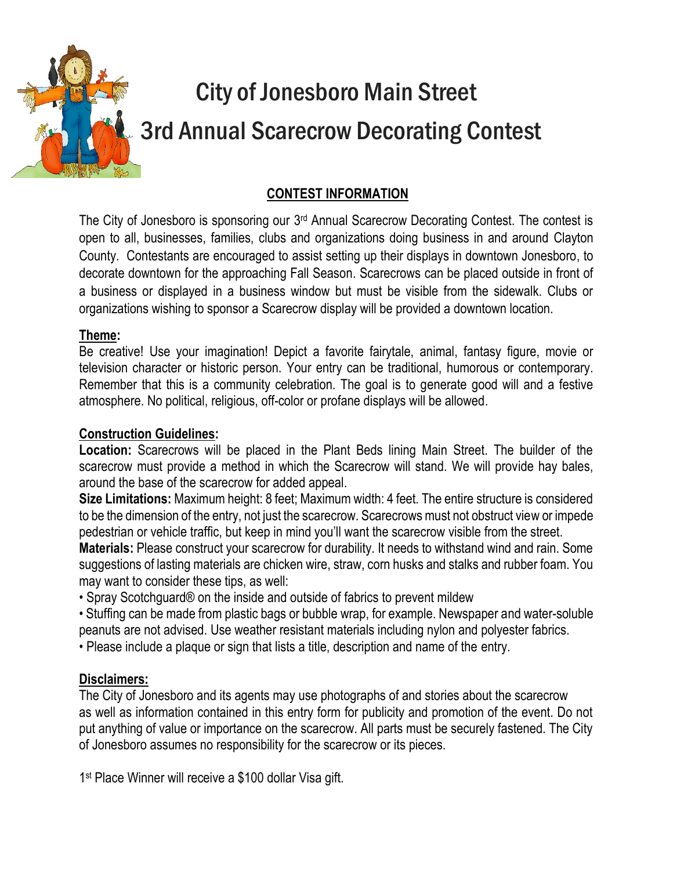

# City of Jonesboro Main Street 3rd Annual Scarecrow Decorating Contest

#### **CONTEST INFORMATION**

The City of Jonesboro is sponsoring our 3<sup>rd</sup> Annual Scarecrow Decorating Contest. The contest is open to all, businesses, families, clubs and organizations doing business in and around Clayton County. Contestants are encouraged to assist setting up their displays in downtown Jonesboro, to decorate downtown for the approaching Fall Season. Scarecrows can be placed outside in front of a business or displayed in a business window but must be visible from the sidewalk. Clubs or organizations wishing to sponsor a Scarecrow display will be provided a downtown location.

#### **Theme:**

Be creative! Use your imagination! Depict a favorite fairytale, animal, fantasy figure, movie or television character or historic person. Your entry can be traditional, humorous or contemporary. Remember that this is a community celebration. The goal is to generate good will and a festive atmosphere. No political, religious, off-color or profane displays will be allowed.

#### **Construction Guidelines:**

**Location:** Scarecrows will be placed in the Plant Beds lining Main Street. The builder of the scarecrow must provide a method in which the Scarecrow will stand. We will provide hay bales, around the base of the scarecrow for added appeal.

**Size Limitations:** Maximum height: 8 feet; Maximum width: 4 feet. The entire structure is considered to be the dimension of the entry, not just the scarecrow. Scarecrows must not obstruct view or impede pedestrian or vehicle traffic, but keep in mind you'll want the scarecrow visible from the street.

**Materials:** Please construct your scarecrow for durability. It needs to withstand wind and rain. Some suggestions of lasting materials are chicken wire, straw, corn husks and stalks and rubber foam. You may want to consider these tips, as well:

• Spray Scotchguard® on the inside and outside of fabrics to prevent mildew

• Stuffing can be made from plastic bags or bubble wrap, for example. Newspaper and water-soluble peanuts are not advised. Use weather resistant materials including nylon and polyester fabrics.

• Please include a plaque or sign that lists a title, description and name of the entry.

#### **Disclaimers:**

The City of Jonesboro and its agents may use photographs of and stories about the scarecrow as well as information contained in this entry form for publicity and promotion of the event. Do not put anything of value or importance on the scarecrow. All parts must be securely fastened. The City of Jonesboro assumes no responsibility for the scarecrow or its pieces.

1 st Place Winner will receive a \$100 dollar Visa gift.